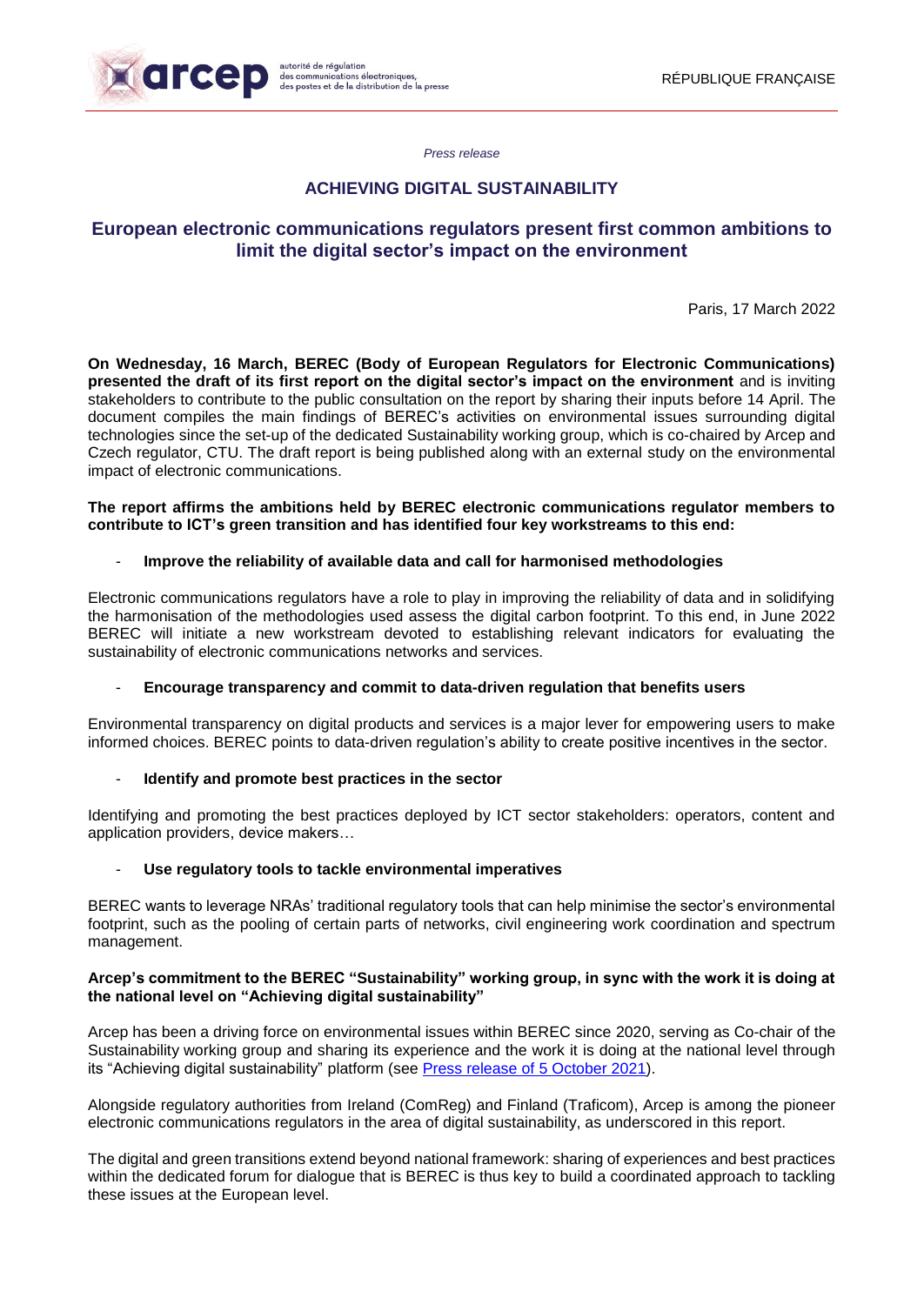

*Press release*

## **ACHIEVING DIGITAL SUSTAINABILITY**

# **European electronic communications regulators present first common ambitions to limit the digital sector's impact on the environment**

Paris, 17 March 2022

**On Wednesday, 16 March, BEREC (Body of European Regulators for Electronic Communications) presented the draft of its first report on the digital sector's impact on the environment** and is inviting stakeholders to contribute to the public consultation on the report by sharing their inputs before 14 April. The document compiles the main findings of BEREC's activities on environmental issues surrounding digital technologies since the set-up of the dedicated Sustainability working group, which is co-chaired by Arcep and Czech regulator, CTU. The draft report is being published along with an external study on the environmental impact of electronic communications.

#### **The report affirms the ambitions held by BEREC electronic communications regulator members to contribute to ICT's green transition and has identified four key workstreams to this end:**

## - **Improve the reliability of available data and call for harmonised methodologies**

Electronic communications regulators have a role to play in improving the reliability of data and in solidifying the harmonisation of the methodologies used assess the digital carbon footprint. To this end, in June 2022 BEREC will initiate a new workstream devoted to establishing relevant indicators for evaluating the sustainability of electronic communications networks and services.

#### - **Encourage transparency and commit to data-driven regulation that benefits users**

Environmental transparency on digital products and services is a major lever for empowering users to make informed choices. BEREC points to data-driven regulation's ability to create positive incentives in the sector.

#### **Identify and promote best practices in the sector**

Identifying and promoting the best practices deployed by ICT sector stakeholders: operators, content and application providers, device makers…

#### - **Use regulatory tools to tackle environmental imperatives**

BEREC wants to leverage NRAs' traditional regulatory tools that can help minimise the sector's environmental footprint, such as the pooling of certain parts of networks, civil engineering work coordination and spectrum management.

## **Arcep's commitment to the BEREC "Sustainability" working group, in sync with the work it is doing at the national level on "Achieving digital sustainability"**

Arcep has been a driving force on environmental issues within BEREC since 2020, serving as Co-chair of the Sustainability working group and sharing its experience and the work it is doing at the national level through its "Achieving digital sustainability" platform (see [Press release of](https://en.arcep.fr/news/press-releases/view/n/the-environment-051021.html) 5 October 2021).

Alongside regulatory authorities from Ireland (ComReg) and Finland (Traficom), Arcep is among the pioneer electronic communications regulators in the area of digital sustainability, as underscored in this report.

The digital and green transitions extend beyond national framework: sharing of experiences and best practices within the dedicated forum for dialogue that is BEREC is thus key to build a coordinated approach to tackling these issues at the European level.